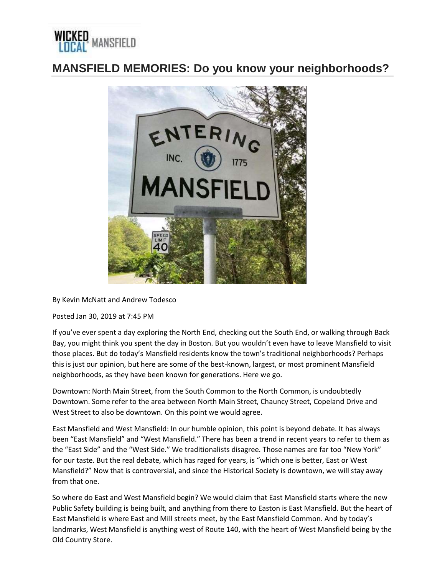

## **MANSFIELD MEMORIES: Do you know your neighborhoods?**



By Kevin McNatt and Andrew Todesco

Posted Jan 30, 2019 at 7:45 PM

If you've ever spent a day exploring the North End, checking out the South End, or walking through Back Bay, you might think you spent the day in Boston. But you wouldn't even have to leave Mansfield to visit those places. But do today's Mansfield residents know the town's traditional neighborhoods? Perhaps this is just our opinion, but here are some of the best-known, largest, or most prominent Mansfield neighborhoods, as they have been known for generations. Here we go.

Downtown: North Main Street, from the South Common to the North Common, is undoubtedly Downtown. Some refer to the area between North Main Street, Chauncy Street, Copeland Drive and West Street to also be downtown. On this point we would agree.

East Mansfield and West Mansfield: In our humble opinion, this point is beyond debate. It has always been "East Mansfield" and "West Mansfield." There has been a trend in recent years to refer to them as the "East Side" and the "West Side." We traditionalists disagree. Those names are far too "New York" for our taste. But the real debate, which has raged for years, is "which one is better, East or West Mansfield?" Now that is controversial, and since the Historical Society is downtown, we will stay away from that one.

So where do East and West Mansfield begin? We would claim that East Mansfield starts where the new Public Safety building is being built, and anything from there to Easton is East Mansfield. But the heart of East Mansfield is where East and Mill streets meet, by the East Mansfield Common. And by today's landmarks, West Mansfield is anything west of Route 140, with the heart of West Mansfield being by the Old Country Store.